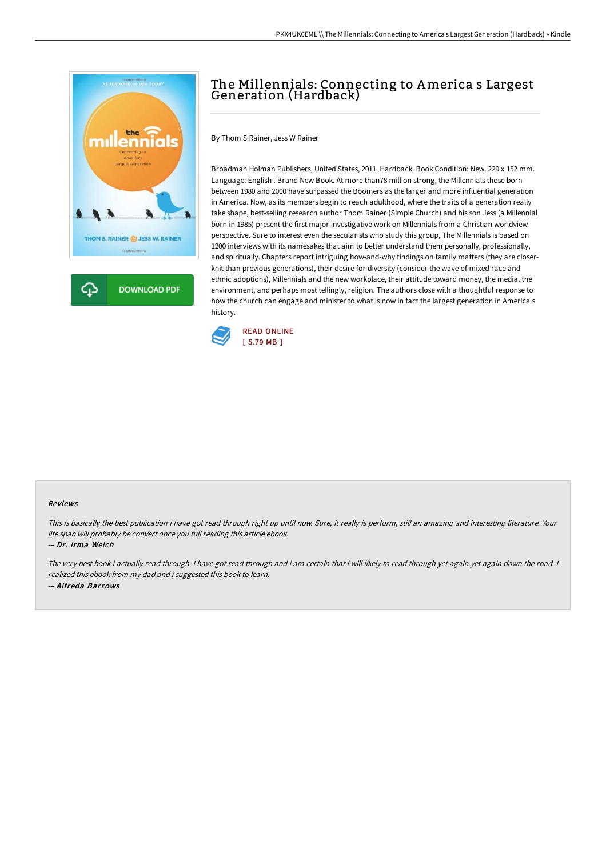

## The Millennials: Connecting to America s Largest Generation (Hardback)

By Thom S Rainer, Jess W Rainer

Broadman Holman Publishers, United States, 2011. Hardback. Book Condition: New. 229 x 152 mm. Language: English . Brand New Book. At more than78 million strong, the Millennials those born between 1980 and 2000 have surpassed the Boomers as the larger and more influential generation in America. Now, as its members begin to reach adulthood, where the traits of a generation really take shape, best-selling research author Thom Rainer (Simple Church) and his son Jess (a Millennial born in 1985) present the first major investigative work on Millennials from a Christian worldview perspective. Sure to interest even the secularists who study this group, The Millennials is based on 1200 interviews with its namesakes that aim to better understand them personally, professionally, and spiritually. Chapters report intriguing how-and-why findings on family matters (they are closerknit than previous generations), their desire for diversity (consider the wave of mixed race and ethnic adoptions), Millennials and the new workplace, their attitude toward money, the media, the environment, and perhaps most tellingly, religion. The authors close with a thoughtful response to how the church can engage and minister to what is now in fact the largest generation in America s history.



## Reviews

This is basically the best publication i have got read through right up until now. Sure, it really is perform, still an amazing and interesting literature. Your life span will probably be convert once you full reading this article ebook.

-- Dr. Irma Welch

The very best book i actually read through. I have got read through and i am certain that i will likely to read through yet again yet again down the road. I realized this ebook from my dad and i suggested this book to learn. -- Alfreda Barrows